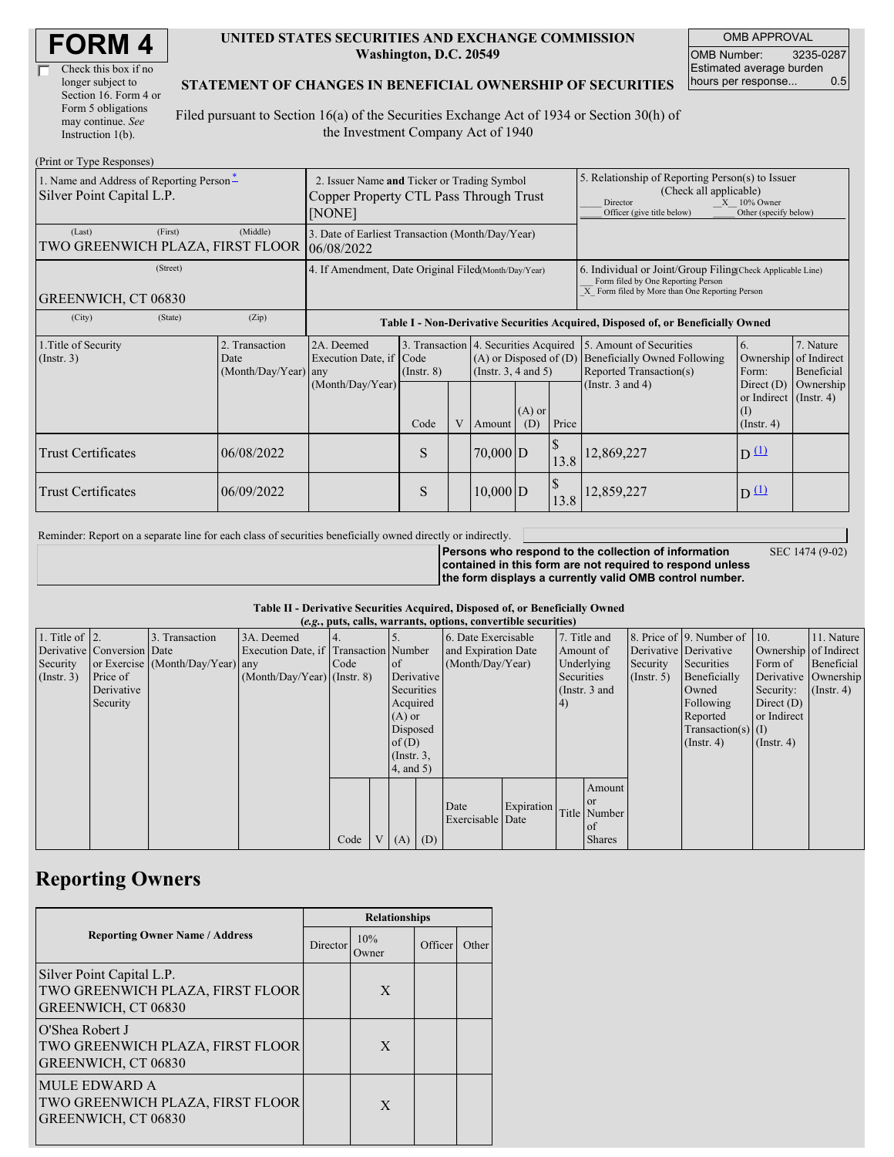| <b>FORM4</b> |
|--------------|
|--------------|

| Check this box if no  |
|-----------------------|
| longer subject to     |
| Section 16. Form 4 or |
| Form 5 obligations    |
| may continue. See     |
| Instruction $1(b)$ .  |

 $(D_{\text{rint}} \text{ or } \text{T}$ yne  $D_{\ell}$ 

#### **UNITED STATES SECURITIES AND EXCHANGE COMMISSION Washington, D.C. 20549**

OMB APPROVAL OMB Number: 3235-0287 Estimated average burden hours per response... 0.5

### **STATEMENT OF CHANGES IN BENEFICIAL OWNERSHIP OF SECURITIES**

Filed pursuant to Section 16(a) of the Securities Exchange Act of 1934 or Section 30(h) of the Investment Company Act of 1940

| $(1 \text{ min} \text{ of } 1 \text{ ypc} \text{ respectively})$<br>1. Name and Address of Reporting Person-<br>Silver Point Capital L.P. | 2. Issuer Name and Ticker or Trading Symbol<br>Copper Property CTL Pass Through Trust<br>[NONE] |                                                                                  |                         |  |                                                                                            |                 | 5. Relationship of Reporting Person(s) to Issuer<br>(Check all applicable)<br>$X = 10\%$ Owner<br>Director<br>Officer (give title below)<br>Other (specify below) |                                                                                           |                                                                   |                         |
|-------------------------------------------------------------------------------------------------------------------------------------------|-------------------------------------------------------------------------------------------------|----------------------------------------------------------------------------------|-------------------------|--|--------------------------------------------------------------------------------------------|-----------------|-------------------------------------------------------------------------------------------------------------------------------------------------------------------|-------------------------------------------------------------------------------------------|-------------------------------------------------------------------|-------------------------|
| (First)<br>(Last)<br>TWO GREENWICH PLAZA, FIRST FLOOR                                                                                     | 3. Date of Earliest Transaction (Month/Day/Year)<br>06/08/2022                                  |                                                                                  |                         |  |                                                                                            |                 |                                                                                                                                                                   |                                                                                           |                                                                   |                         |
| (Street)<br>GREENWICH, CT 06830                                                                                                           | 4. If Amendment, Date Original Filed(Month/Day/Year)                                            |                                                                                  |                         |  |                                                                                            |                 | 6. Individual or Joint/Group Filing Check Applicable Line)<br>Form filed by One Reporting Person<br>X Form filed by More than One Reporting Person                |                                                                                           |                                                                   |                         |
| (City)<br>(State)                                                                                                                         | (Zip)                                                                                           | Table I - Non-Derivative Securities Acquired, Disposed of, or Beneficially Owned |                         |  |                                                                                            |                 |                                                                                                                                                                   |                                                                                           |                                                                   |                         |
| 1. Title of Security<br>$($ Instr. 3 $)$                                                                                                  | 2. Transaction<br>Date<br>(Month/Day/Year) any                                                  | 2A. Deemed<br>Execution Date, if                                                 | Code<br>$($ Instr. $8)$ |  | 3. Transaction 4. Securities Acquired<br>$(A)$ or Disposed of $(D)$<br>(Instr. 3, 4 and 5) |                 |                                                                                                                                                                   | 5. Amount of Securities<br><b>Beneficially Owned Following</b><br>Reported Transaction(s) | 6.<br>Ownership of Indirect<br>Form:                              | 7. Nature<br>Beneficial |
|                                                                                                                                           |                                                                                                 | (Month/Day/Year)                                                                 | Code                    |  | Amount                                                                                     | $(A)$ or<br>(D) | Price                                                                                                                                                             | (Instr. $3$ and $4$ )                                                                     | Direct $(D)$<br>or Indirect (Instr. 4)<br>(I)<br>$($ Instr. 4 $)$ | Ownership               |
| <b>Trust Certificates</b>                                                                                                                 | 06/08/2022                                                                                      |                                                                                  | S                       |  | $70,000$ D                                                                                 |                 | <sup>\$</sup><br>13.8                                                                                                                                             | 12,869,227                                                                                | $D^{\text{L}}$                                                    |                         |
| <b>Trust Certificates</b>                                                                                                                 | 06/09/2022                                                                                      |                                                                                  | S                       |  | $10,000$ D                                                                                 |                 | $\mathcal{S}$<br>13.8                                                                                                                                             | 12,859,227                                                                                | $D^{(1)}$                                                         |                         |

Reminder: Report on a separate line for each class of securities beneficially owned directly or indirectly.

SEC 1474 (9-02)

**Persons who respond to the collection of information contained in this form are not required to respond unless the form displays a currently valid OMB control number.**

#### **Table II - Derivative Securities Acquired, Disposed of, or Beneficially Owned**

|                        | (e.g., puts, calls, warrants, options, convertible securities) |                                  |                                       |      |                |                  |                     |                  |            |                 |               |                       |                              |                       |                      |
|------------------------|----------------------------------------------------------------|----------------------------------|---------------------------------------|------|----------------|------------------|---------------------|------------------|------------|-----------------|---------------|-----------------------|------------------------------|-----------------------|----------------------|
| 1. Title of $\vert$ 2. |                                                                | 3. Transaction                   | 3A. Deemed                            |      |                |                  | 6. Date Exercisable |                  |            |                 | 7. Title and  |                       | 8. Price of 9. Number of 10. |                       | 11. Nature           |
|                        | Derivative Conversion Date                                     |                                  | Execution Date, if Transaction Number |      |                |                  | and Expiration Date |                  | Amount of  |                 |               | Derivative Derivative |                              | Ownership of Indirect |                      |
| Security               |                                                                | or Exercise (Month/Day/Year) any |                                       | Code |                | <sub>of</sub>    | (Month/Day/Year)    |                  | Underlying |                 | Security      | Securities            | Form of                      | Beneficial            |                      |
| (Insert. 3)            | Price of                                                       |                                  | $(Month/Day/Year)$ (Instr. 8)         |      |                |                  | Derivative          |                  |            | Securities      |               | $($ Instr. 5)         | Beneficially                 |                       | Derivative Ownership |
|                        | Derivative                                                     |                                  |                                       |      |                | Securities       |                     |                  |            | (Instr. $3$ and |               |                       | Owned                        | Security:             | $($ Instr. 4 $)$     |
|                        | Security                                                       |                                  |                                       |      |                | Acquired         |                     |                  |            | (4)             |               |                       | Following                    | Direct $(D)$          |                      |
|                        |                                                                |                                  |                                       |      |                | $(A)$ or         |                     |                  |            |                 |               |                       | Reported                     | or Indirect           |                      |
|                        |                                                                |                                  |                                       |      |                | Disposed         |                     |                  |            |                 |               |                       | $Transaction(s)$ (I)         |                       |                      |
|                        |                                                                |                                  |                                       |      |                | of $(D)$         |                     |                  |            |                 |               |                       | $($ Instr. 4 $)$             | $($ Instr. 4 $)$      |                      |
|                        |                                                                |                                  |                                       |      |                | $($ Instr. $3$ , |                     |                  |            |                 |               |                       |                              |                       |                      |
|                        |                                                                |                                  |                                       |      |                | $4$ , and $5$ )  |                     |                  |            |                 |               |                       |                              |                       |                      |
|                        |                                                                |                                  |                                       |      |                |                  |                     |                  |            |                 | Amount        |                       |                              |                       |                      |
|                        |                                                                |                                  |                                       |      |                |                  |                     |                  |            |                 | <b>or</b>     |                       |                              |                       |                      |
|                        |                                                                |                                  |                                       |      |                |                  |                     | Date             | Expiration |                 | Title Number  |                       |                              |                       |                      |
|                        |                                                                |                                  |                                       |      |                |                  |                     | Exercisable Date |            |                 | <sub>of</sub> |                       |                              |                       |                      |
|                        |                                                                |                                  |                                       | Code | V <sub>1</sub> |                  | $(A)$ $(D)$         |                  |            |                 | <b>Shares</b> |                       |                              |                       |                      |

## **Reporting Owners**

|                                                                                      | <b>Relationships</b> |              |         |       |  |  |  |  |
|--------------------------------------------------------------------------------------|----------------------|--------------|---------|-------|--|--|--|--|
| <b>Reporting Owner Name / Address</b>                                                | Director             | 10%<br>Owner | Officer | Other |  |  |  |  |
| Silver Point Capital L.P.<br>TWO GREENWICH PLAZA, FIRST FLOOR<br>GREENWICH, CT 06830 |                      | X            |         |       |  |  |  |  |
| O'Shea Robert J<br>TWO GREENWICH PLAZA, FIRST FLOOR<br>GREENWICH, CT 06830           |                      | X            |         |       |  |  |  |  |
| <b>MULE EDWARD A</b><br>TWO GREENWICH PLAZA, FIRST FLOOR<br>GREENWICH, CT 06830      |                      | X            |         |       |  |  |  |  |